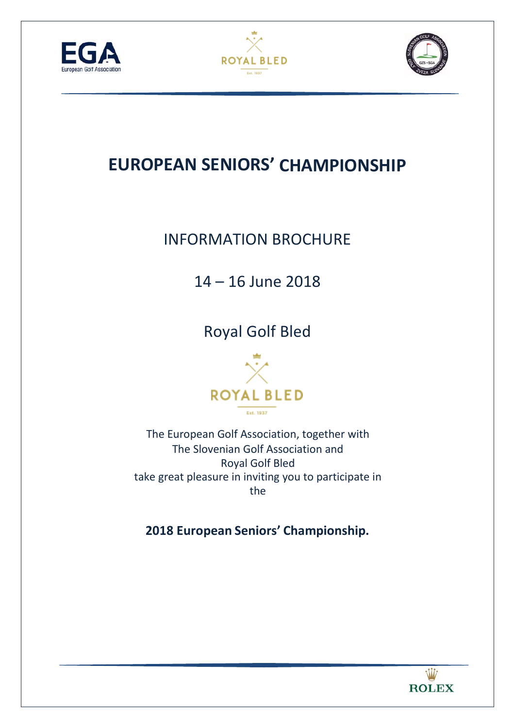





# **EUROPEAN SENIORS' CHAMPIONSHIP**

# INFORMATION BROCHURE

# 14 – 16 June 2018

Royal Golf Bled



The European Golf Association, together with The Slovenian Golf Association and Royal Golf Bled take great pleasure in inviting you to participate in the

**2018 European Seniors' Championship.** 

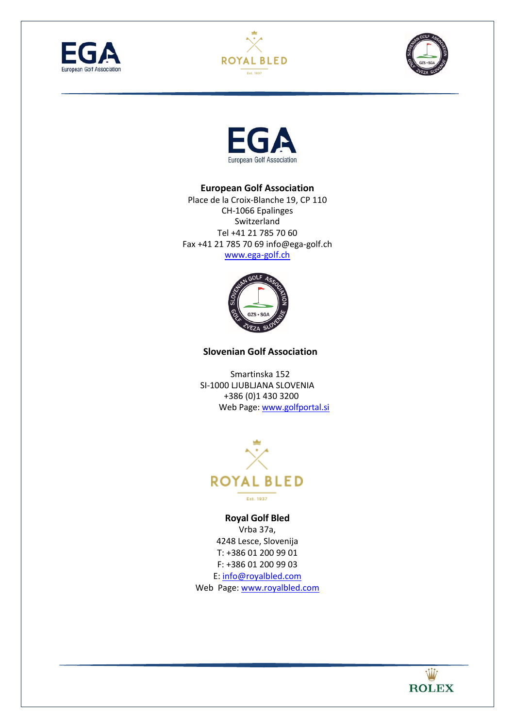







#### **European Golf Association**

Place de la Croix‐Blanche 19, CP 110 CH‐1066 Epalinges Switzerland Tel +41 21 785 70 60 Fax +41 21 785 70 69 info@ega‐golf.ch www.ega‐golf.ch



#### **Slovenian Golf Association**

Smartinska 152 SI‐1000 LJUBLJANA SLOVENIA +386 (0)1 430 3200 Web Page: www.golfportal.si



#### **Royal Golf Bled**

Vrba 37a, 4248 Lesce, Slovenija T: +386 01 200 99 01 F: +386 01 200 99 03 E: info@royalbled.com Web Page: www.royalbled.com

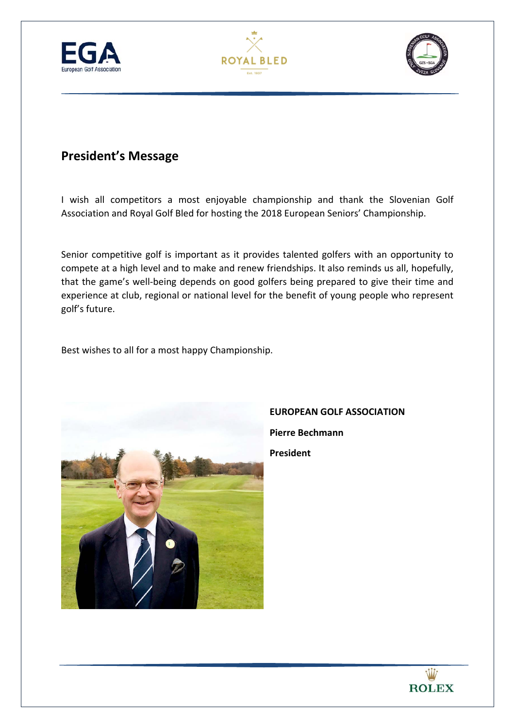





## **President's Message**

I wish all competitors a most enjoyable championship and thank the Slovenian Golf Association and Royal Golf Bled for hosting the 2018 European Seniors' Championship.

Senior competitive golf is important as it provides talented golfers with an opportunity to compete at a high level and to make and renew friendships. It also reminds us all, hopefully, that the game's well-being depends on good golfers being prepared to give their time and experience at club, regional or national level for the benefit of young people who represent golf's future.

Best wishes to all for a most happy Championship.



## **EUROPEAN GOLF ASSOCIATION Pierre Bechmann President**

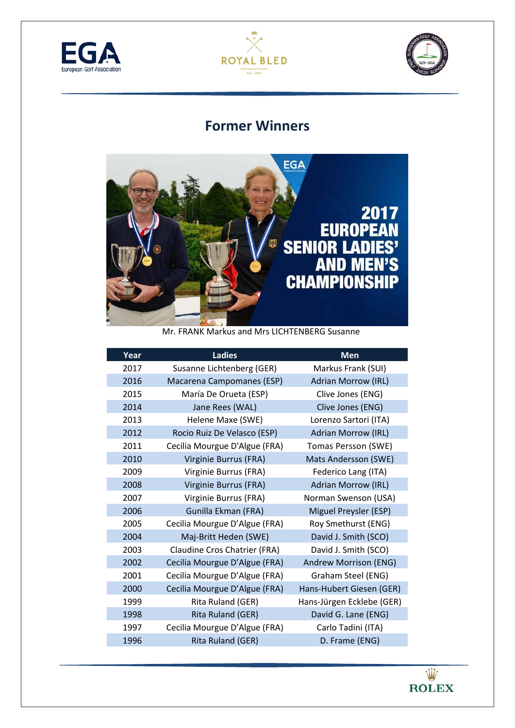





## **Former Winners**



Mr. FRANK Markus and Mrs LICHTENBERG Susanne

| Year | <b>Ladies</b>                 | <b>Men</b>                 |
|------|-------------------------------|----------------------------|
| 2017 | Susanne Lichtenberg (GER)     | Markus Frank (SUI)         |
| 2016 | Macarena Campomanes (ESP)     | <b>Adrian Morrow (IRL)</b> |
| 2015 | María De Orueta (ESP)         | Clive Jones (ENG)          |
| 2014 | Jane Rees (WAL)               | Clive Jones (ENG)          |
| 2013 | Helene Maxe (SWE)             | Lorenzo Sartori (ITA)      |
| 2012 | Rocio Ruiz De Velasco (ESP)   | <b>Adrian Morrow (IRL)</b> |
| 2011 | Cecilia Mourgue D'Algue (FRA) | Tomas Persson (SWE)        |
| 2010 | Virginie Burrus (FRA)         | Mats Andersson (SWE)       |
| 2009 | Virginie Burrus (FRA)         | Federico Lang (ITA)        |
| 2008 | Virginie Burrus (FRA)         | <b>Adrian Morrow (IRL)</b> |
| 2007 | Virginie Burrus (FRA)         | Norman Swenson (USA)       |
| 2006 | Gunilla Ekman (FRA)           | Miguel Preysler (ESP)      |
| 2005 | Cecilia Mourgue D'Algue (FRA) | Roy Smethurst (ENG)        |
| 2004 | Maj-Britt Heden (SWE)         | David J. Smith (SCO)       |
| 2003 | Claudine Cros Chatrier (FRA)  | David J. Smith (SCO)       |
| 2002 | Cecilia Mourgue D'Algue (FRA) | Andrew Morrison (ENG)      |
| 2001 | Cecilia Mourgue D'Algue (FRA) | Graham Steel (ENG)         |
| 2000 | Cecilia Mourgue D'Algue (FRA) | Hans-Hubert Giesen (GER)   |
| 1999 | Rita Ruland (GER)             | Hans-Jürgen Ecklebe (GER)  |
| 1998 | Rita Ruland (GER)             | David G. Lane (ENG)        |
| 1997 | Cecilia Mourgue D'Algue (FRA) | Carlo Tadini (ITA)         |
| 1996 | Rita Ruland (GER)             | D. Frame (ENG)             |

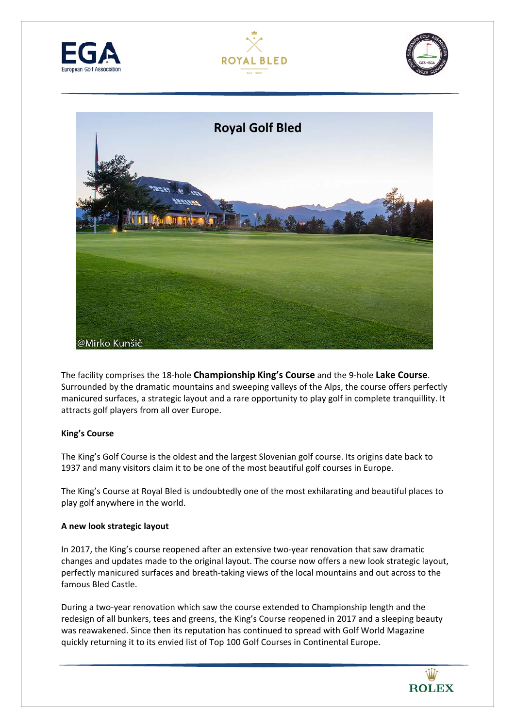







The facility comprises the 18‐hole **Championship King's Course** and the 9‐hole **Lake Course**. Surrounded by the dramatic mountains and sweeping valleys of the Alps, the course offers perfectly manicured surfaces, a strategic layout and a rare opportunity to play golf in complete tranquillity. It attracts golf players from all over Europe.

#### **King's Course**

The King's Golf Course is the oldest and the largest Slovenian golf course. Its origins date back to 1937 and many visitors claim it to be one of the most beautiful golf courses in Europe.

The King's Course at Royal Bled is undoubtedly one of the most exhilarating and beautiful places to play golf anywhere in the world.

#### **A new look strategic layout**

In 2017, the King's course reopened after an extensive two-year renovation that saw dramatic changes and updates made to the original layout. The course now offers a new look strategic layout, perfectly manicured surfaces and breath‐taking views of the local mountains and out across to the famous Bled Castle.

During a two‐year renovation which saw the course extended to Championship length and the redesign of all bunkers, tees and greens, the King's Course reopened in 2017 and a sleeping beauty was reawakened. Since then its reputation has continued to spread with Golf World Magazine quickly returning it to its envied list of Top 100 Golf Courses in Continental Europe.

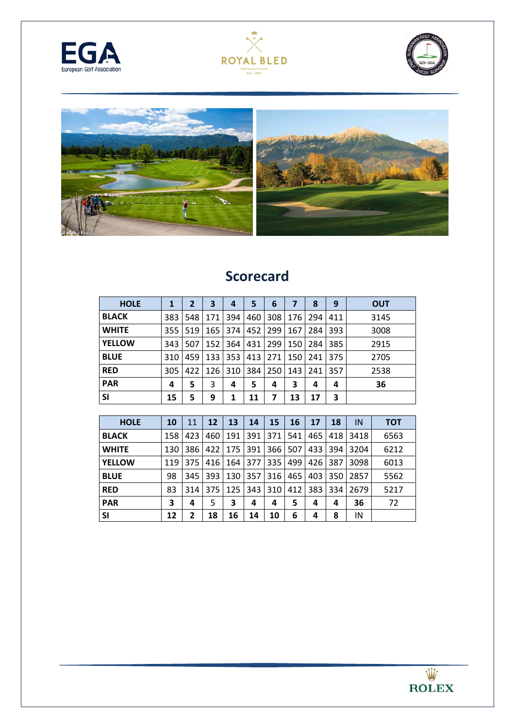







## **Scorecard**

| <b>HOLE</b>   |     | 2   | 3          | 4     | 5   | 6   |     | 8   | 9   | <b>OUT</b> |
|---------------|-----|-----|------------|-------|-----|-----|-----|-----|-----|------------|
| <b>BLACK</b>  | 383 | 548 | 171        | 394   | 460 | 308 | 176 | 294 | 411 | 3145       |
| <b>WHITE</b>  | 355 | 519 | <b>165</b> | 374 l | 452 | 299 | 167 | 284 | 393 | 3008       |
| <b>YELLOW</b> | 343 | 507 | 152        | 364   | 431 | 299 | 150 | 284 | 385 | 2915       |
| <b>BLUE</b>   | 310 | 459 | 133        | 353   | 413 | 271 | 150 | 241 | 375 | 2705       |
| <b>RED</b>    | 305 | 422 | 126        | 310   | 384 | 250 | 143 | 241 | 357 | 2538       |
| <b>PAR</b>    | 4   | 5   | 3          | 4     | 5   | 4   | 3   | 4   | 4   | 36         |
| <b>SI</b>     | 15  | 5   | 9          | 1     | 11  | 7   | 13  | 17  | 3   |            |

| <b>HOLE</b>   | 10  | 11  | 12   | 13    | 14    | 15  | 16  | <b>17</b> | 18  | IN   | <b>TOT</b> |
|---------------|-----|-----|------|-------|-------|-----|-----|-----------|-----|------|------------|
| <b>BLACK</b>  | 158 | 423 | 460  | 191   | 391   | 371 | 541 | 465       | 418 | 3418 | 6563       |
| <b>WHITE</b>  | 130 | 386 | 4221 | 175   | 391   | 366 | 507 | 433       | 394 | 3204 | 6212       |
| <b>YELLOW</b> | 119 | 375 | 416  | 164 l | 377   | 335 | 499 | 426       | 387 | 3098 | 6013       |
| <b>BLUE</b>   | 98  | 345 | 393  | 130   | 357   | 316 | 465 | 403       | 350 | 2857 | 5562       |
| <b>RED</b>    | 83  | 314 | 375  | 125   | 343 I | 310 | 412 | 383       | 334 | 2679 | 5217       |
| <b>PAR</b>    | 3   | 4   | 5    | 3     | 4     | 4   | 5   | 4         | 4   | 36   | 72         |
| <b>SI</b>     | 12  | 2   | 18   | 16    | 14    | 10  | 6   | 4         | 8   | IN   |            |

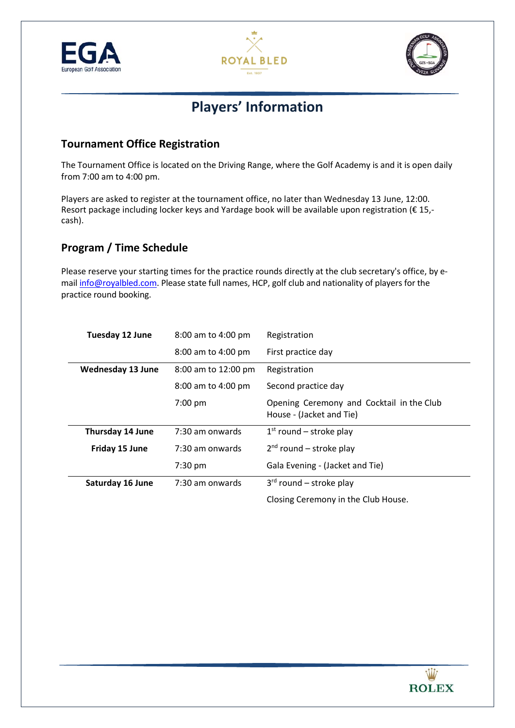





## **Players' Information**

### **Tournament Office Registration**

The Tournament Office is located on the Driving Range, where the Golf Academy is and it is open daily from 7:00 am to 4:00 pm.

Players are asked to register at the tournament office, no later than Wednesday 13 June, 12:00. Resort package including locker keys and Yardage book will be available upon registration (€ 15,cash).

### **Program / Time Schedule**

Please reserve your starting times for the practice rounds directly at the club secretary's office, by e‐ mail info@royalbled.com. Please state full names, HCP, golf club and nationality of players for the practice round booking.

| Tuesday 12 June          | 8:00 am to 4:00 pm  | Registration                                                          |
|--------------------------|---------------------|-----------------------------------------------------------------------|
|                          | 8:00 am to 4:00 pm  | First practice day                                                    |
| <b>Wednesday 13 June</b> | 8:00 am to 12:00 pm | Registration                                                          |
|                          | 8:00 am to 4:00 pm  | Second practice day                                                   |
|                          | $7:00$ pm           | Opening Ceremony and Cocktail in the Club<br>House - (Jacket and Tie) |
| Thursday 14 June         | 7:30 am onwards     | $1st$ round – stroke play                                             |
| Friday 15 June           | 7:30 am onwards     | $2nd$ round – stroke play                                             |
|                          | 7:30 pm             | Gala Evening - (Jacket and Tie)                                       |
| <b>Saturday 16 June</b>  | 7:30 am onwards     | $3rd$ round – stroke play                                             |
|                          |                     | Closing Ceremony in the Club House.                                   |

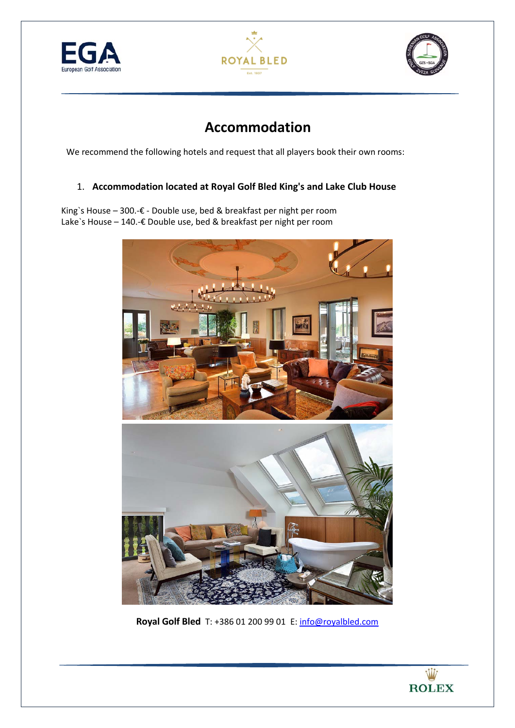





## **Accommodation**

We recommend the following hotels and request that all players book their own rooms:

### 1. **Accommodation located at Royal Golf Bled King's and Lake Club House**

King`s House – 300.‐€ ‐ Double use, bed & breakfast per night per room Lake`s House – 140.‐€ Double use, bed & breakfast per night per room



**Royal Golf Bled** T: +386 01 200 99 01E: info@royalbled.com

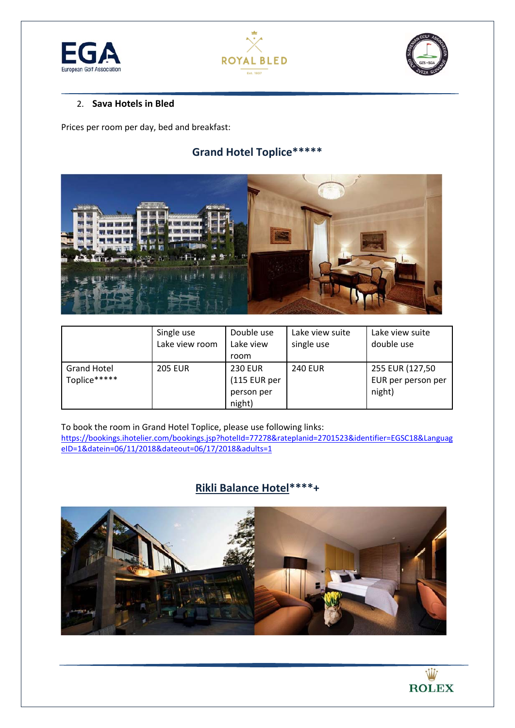





#### 2. **Sava Hotels in Bled**

Prices per room per day, bed and breakfast:

### **Grand Hotel Toplice\*\*\*\*\***



|                                    | Single use<br>Lake view room | Double use<br>Lake view<br>room                        | Lake view suite<br>single use | Lake view suite<br>double use                   |
|------------------------------------|------------------------------|--------------------------------------------------------|-------------------------------|-------------------------------------------------|
| <b>Grand Hotel</b><br>Toplice***** | <b>205 EUR</b>               | <b>230 EUR</b><br>(115 EUR per<br>person per<br>night) | <b>240 EUR</b>                | 255 EUR (127,50<br>EUR per person per<br>night) |

To book the room in Grand Hotel Toplice, please use following links: https://bookings.ihotelier.com/bookings.jsp?hotelId=77278&rateplanid=2701523&identifier=EGSC18&Languag eID=1&datein=06/11/2018&dateout=06/17/2018&adults=1

### **Rikli Balance Hotel\*\*\*\*+**



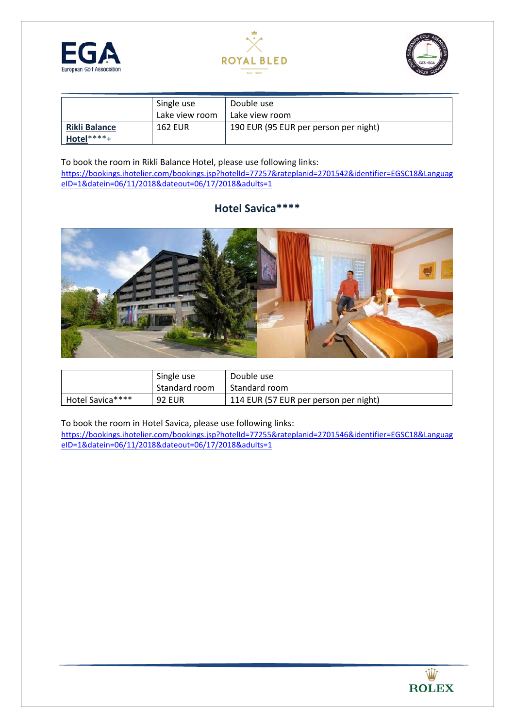





|                      | Single use     | Double use                            |
|----------------------|----------------|---------------------------------------|
|                      | Lake view room | Lake view room                        |
| <b>Rikli Balance</b> | 162 EUR        | 190 EUR (95 EUR per person per night) |
| Hotel****+           |                |                                       |

To book the room in Rikli Balance Hotel, please use following links:

https://bookings.ihotelier.com/bookings.jsp?hotelId=77257&rateplanid=2701542&identifier=EGSC18&Languag eID=1&datein=06/11/2018&dateout=06/17/2018&adults=1

### **Hotel Savica\*\*\*\***



|                  | Single use    | Double use                            |
|------------------|---------------|---------------------------------------|
|                  | Standard room | Standard room                         |
| Hotel Savica**** | <b>92 EUR</b> | 114 EUR (57 EUR per person per night) |

To book the room in Hotel Savica, please use following links:

https://bookings.ihotelier.com/bookings.jsp?hotelId=77255&rateplanid=2701546&identifier=EGSC18&Languag eID=1&datein=06/11/2018&dateout=06/17/2018&adults=1

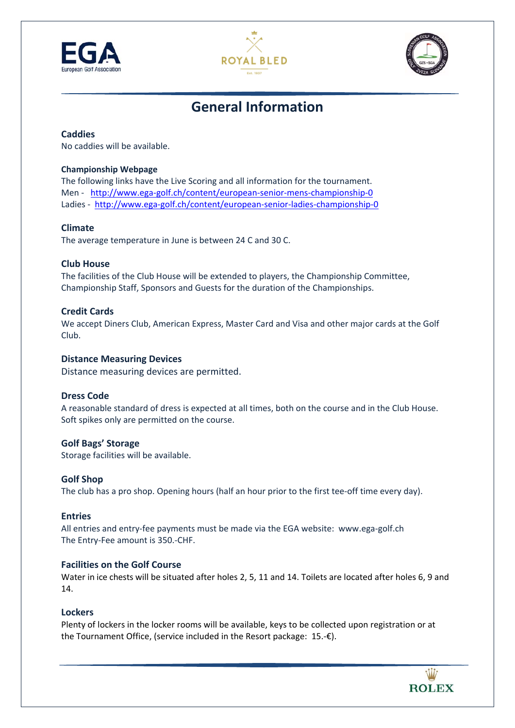





## **General Information**

#### **Caddies**

No caddies will be available.

#### **Championship Webpage**

The following links have the Live Scoring and all information for the tournament. Men - http://www.ega-golf.ch/content/european-senior-mens-championship-0 Ladies - http://www.ega-golf.ch/content/european-senior-ladies-championship-0

#### **Climate**

The average temperature in June is between 24 C and 30 C.

#### **Club House**

The facilities of the Club House will be extended to players, the Championship Committee, Championship Staff, Sponsors and Guests for the duration of the Championships.

#### **Credit Cards**

We accept Diners Club, American Express, Master Card and Visa and other major cards at the Golf Club.

#### **Distance Measuring Devices**

Distance measuring devices are permitted.

#### **Dress Code**

A reasonable standard of dress is expected at all times, both on the course and in the Club House. Soft spikes only are permitted on the course.

#### **Golf Bags' Storage**

Storage facilities will be available.

#### **Golf Shop**

The club has a pro shop. Opening hours (half an hour prior to the first tee-off time every day).

#### **Entries**

All entries and entry-fee payments must be made via the EGA website: www.ega-golf.ch The Entry‐Fee amount is 350.‐CHF.

#### **Facilities on the Golf Course**

Water in ice chests will be situated after holes 2, 5, 11 and 14. Toilets are located after holes 6, 9 and 14.

#### **Lockers**

Plenty of lockers in the locker rooms will be available, keys to be collected upon registration or at the Tournament Office, (service included in the Resort package: 15.‐€).